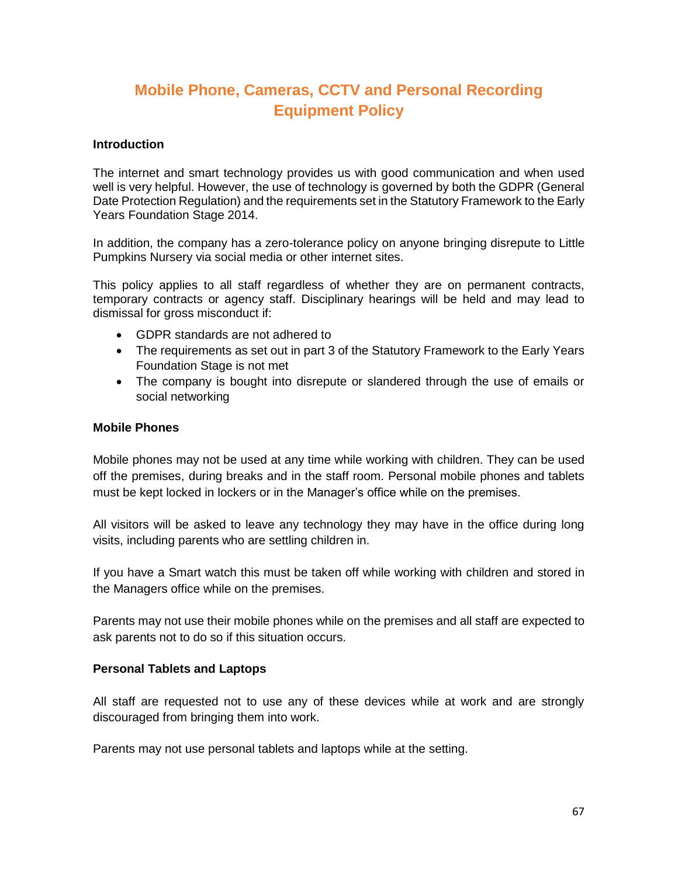# **Mobile Phone, Cameras, CCTV and Personal Recording Equipment Policy**

#### **Introduction**

The internet and smart technology provides us with good communication and when used well is very helpful. However, the use of technology is governed by both the GDPR (General Date Protection Regulation) and the requirements set in the Statutory Framework to the Early Years Foundation Stage 2014.

In addition, the company has a zero-tolerance policy on anyone bringing disrepute to Little Pumpkins Nursery via social media or other internet sites.

This policy applies to all staff regardless of whether they are on permanent contracts, temporary contracts or agency staff. Disciplinary hearings will be held and may lead to dismissal for gross misconduct if:

- GDPR standards are not adhered to
- The requirements as set out in part 3 of the Statutory Framework to the Early Years Foundation Stage is not met
- The company is bought into disrepute or slandered through the use of emails or social networking

#### **Mobile Phones**

Mobile phones may not be used at any time while working with children. They can be used off the premises, during breaks and in the staff room. Personal mobile phones and tablets must be kept locked in lockers or in the Manager's office while on the premises.

All visitors will be asked to leave any technology they may have in the office during long visits, including parents who are settling children in.

If you have a Smart watch this must be taken off while working with children and stored in the Managers office while on the premises.

Parents may not use their mobile phones while on the premises and all staff are expected to ask parents not to do so if this situation occurs.

# **Personal Tablets and Laptops**

All staff are requested not to use any of these devices while at work and are strongly discouraged from bringing them into work.

Parents may not use personal tablets and laptops while at the setting.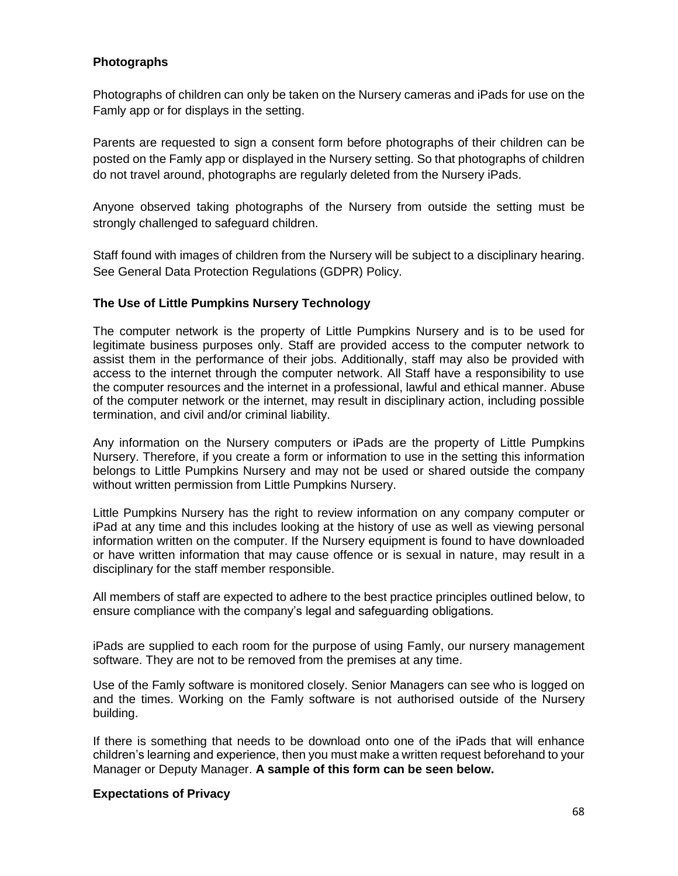# **Photographs**

Photographs of children can only be taken on the Nursery cameras and iPads for use on the Famly app or for displays in the setting.

Parents are requested to sign a consent form before photographs of their children can be posted on the Famly app or displayed in the Nursery setting. So that photographs of children do not travel around, photographs are regularly deleted from the Nursery iPads.

Anyone observed taking photographs of the Nursery from outside the setting must be strongly challenged to safeguard children.

Staff found with images of children from the Nursery will be subject to a disciplinary hearing. See General Data Protection Regulations (GDPR) Policy.

# **The Use of Little Pumpkins Nursery Technology**

The computer network is the property of Little Pumpkins Nursery and is to be used for legitimate business purposes only. Staff are provided access to the computer network to assist them in the performance of their jobs. Additionally, staff may also be provided with access to the internet through the computer network. All Staff have a responsibility to use the computer resources and the internet in a professional, lawful and ethical manner. Abuse of the computer network or the internet, may result in disciplinary action, including possible termination, and civil and/or criminal liability.

Any information on the Nursery computers or iPads are the property of Little Pumpkins Nursery. Therefore, if you create a form or information to use in the setting this information belongs to Little Pumpkins Nursery and may not be used or shared outside the company without written permission from Little Pumpkins Nursery.

Little Pumpkins Nursery has the right to review information on any company computer or iPad at any time and this includes looking at the history of use as well as viewing personal information written on the computer. If the Nursery equipment is found to have downloaded or have written information that may cause offence or is sexual in nature, may result in a disciplinary for the staff member responsible.

All members of staff are expected to adhere to the best practice principles outlined below, to ensure compliance with the company's legal and safeguarding obligations.

iPads are supplied to each room for the purpose of using Famly, our nursery management software. They are not to be removed from the premises at any time.

Use of the Famly software is monitored closely. Senior Managers can see who is logged on and the times. Working on the Famly software is not authorised outside of the Nursery building.

If there is something that needs to be download onto one of the iPads that will enhance children's learning and experience, then you must make a written request beforehand to your Manager or Deputy Manager. **A sample of this form can be seen below.**

# **Expectations of Privacy**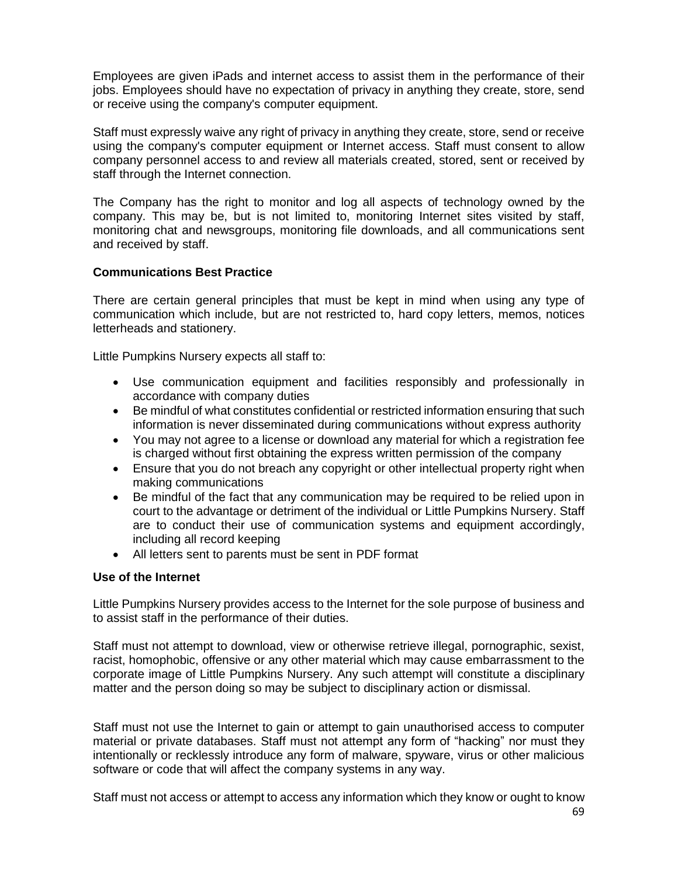Employees are given iPads and internet access to assist them in the performance of their jobs. Employees should have no expectation of privacy in anything they create, store, send or receive using the company's computer equipment.

Staff must expressly waive any right of privacy in anything they create, store, send or receive using the company's computer equipment or Internet access. Staff must consent to allow company personnel access to and review all materials created, stored, sent or received by staff through the Internet connection.

The Company has the right to monitor and log all aspects of technology owned by the company. This may be, but is not limited to, monitoring Internet sites visited by staff, monitoring chat and newsgroups, monitoring file downloads, and all communications sent and received by staff.

# **Communications Best Practice**

There are certain general principles that must be kept in mind when using any type of communication which include, but are not restricted to, hard copy letters, memos, notices letterheads and stationery.

Little Pumpkins Nursery expects all staff to:

- Use communication equipment and facilities responsibly and professionally in accordance with company duties
- Be mindful of what constitutes confidential or restricted information ensuring that such information is never disseminated during communications without express authority
- You may not agree to a license or download any material for which a registration fee is charged without first obtaining the express written permission of the company
- Ensure that you do not breach any copyright or other intellectual property right when making communications
- Be mindful of the fact that any communication may be required to be relied upon in court to the advantage or detriment of the individual or Little Pumpkins Nursery. Staff are to conduct their use of communication systems and equipment accordingly, including all record keeping
- All letters sent to parents must be sent in PDF format

#### **Use of the Internet**

Little Pumpkins Nursery provides access to the Internet for the sole purpose of business and to assist staff in the performance of their duties.

Staff must not attempt to download, view or otherwise retrieve illegal, pornographic, sexist, racist, homophobic, offensive or any other material which may cause embarrassment to the corporate image of Little Pumpkins Nursery. Any such attempt will constitute a disciplinary matter and the person doing so may be subject to disciplinary action or dismissal.

Staff must not use the Internet to gain or attempt to gain unauthorised access to computer material or private databases. Staff must not attempt any form of "hacking" nor must they intentionally or recklessly introduce any form of malware, spyware, virus or other malicious software or code that will affect the company systems in any way.

Staff must not access or attempt to access any information which they know or ought to know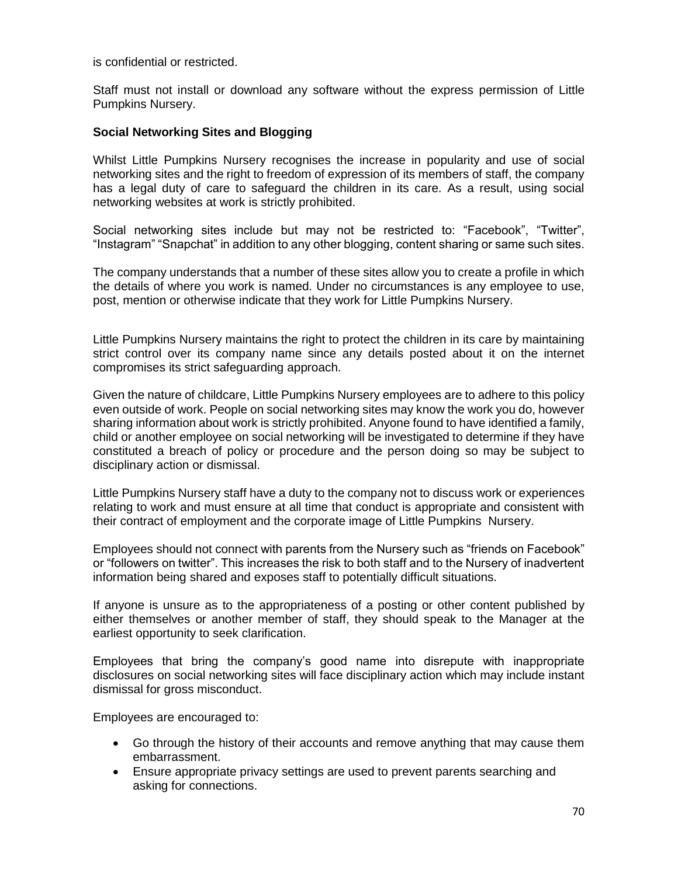is confidential or restricted.

Staff must not install or download any software without the express permission of Little Pumpkins Nursery.

### **Social Networking Sites and Blogging**

Whilst Little Pumpkins Nursery recognises the increase in popularity and use of social networking sites and the right to freedom of expression of its members of staff, the company has a legal duty of care to safeguard the children in its care. As a result, using social networking websites at work is strictly prohibited.

Social networking sites include but may not be restricted to: "Facebook", "Twitter", "Instagram" "Snapchat" in addition to any other blogging, content sharing or same such sites.

The company understands that a number of these sites allow you to create a profile in which the details of where you work is named. Under no circumstances is any employee to use, post, mention or otherwise indicate that they work for Little Pumpkins Nursery.

Little Pumpkins Nursery maintains the right to protect the children in its care by maintaining strict control over its company name since any details posted about it on the internet compromises its strict safeguarding approach.

Given the nature of childcare, Little Pumpkins Nursery employees are to adhere to this policy even outside of work. People on social networking sites may know the work you do, however sharing information about work is strictly prohibited. Anyone found to have identified a family, child or another employee on social networking will be investigated to determine if they have constituted a breach of policy or procedure and the person doing so may be subject to disciplinary action or dismissal.

Little Pumpkins Nursery staff have a duty to the company not to discuss work or experiences relating to work and must ensure at all time that conduct is appropriate and consistent with their contract of employment and the corporate image of Little Pumpkins Nursery.

Employees should not connect with parents from the Nursery such as "friends on Facebook" or "followers on twitter". This increases the risk to both staff and to the Nursery of inadvertent information being shared and exposes staff to potentially difficult situations.

If anyone is unsure as to the appropriateness of a posting or other content published by either themselves or another member of staff, they should speak to the Manager at the earliest opportunity to seek clarification.

Employees that bring the company's good name into disrepute with inappropriate disclosures on social networking sites will face disciplinary action which may include instant dismissal for gross misconduct.

Employees are encouraged to:

- Go through the history of their accounts and remove anything that may cause them embarrassment.
- Ensure appropriate privacy settings are used to prevent parents searching and asking for connections.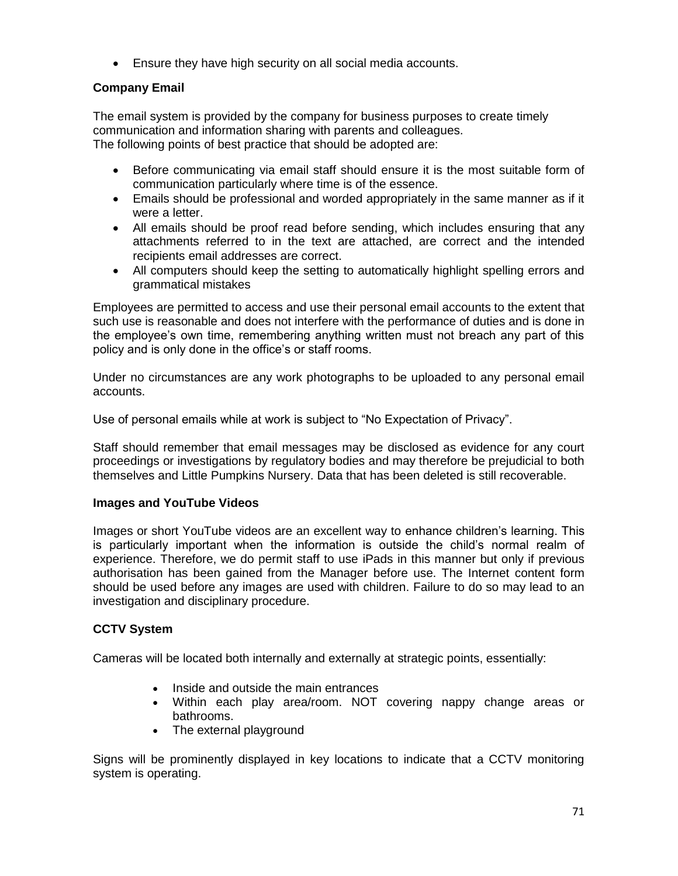Ensure they have high security on all social media accounts.

# **Company Email**

The email system is provided by the company for business purposes to create timely communication and information sharing with parents and colleagues. The following points of best practice that should be adopted are:

- Before communicating via email staff should ensure it is the most suitable form of communication particularly where time is of the essence.
- Emails should be professional and worded appropriately in the same manner as if it were a letter.
- All emails should be proof read before sending, which includes ensuring that any attachments referred to in the text are attached, are correct and the intended recipients email addresses are correct.
- All computers should keep the setting to automatically highlight spelling errors and grammatical mistakes

Employees are permitted to access and use their personal email accounts to the extent that such use is reasonable and does not interfere with the performance of duties and is done in the employee's own time, remembering anything written must not breach any part of this policy and is only done in the office's or staff rooms.

Under no circumstances are any work photographs to be uploaded to any personal email accounts.

Use of personal emails while at work is subject to "No Expectation of Privacy".

Staff should remember that email messages may be disclosed as evidence for any court proceedings or investigations by regulatory bodies and may therefore be prejudicial to both themselves and Little Pumpkins Nursery. Data that has been deleted is still recoverable.

# **Images and YouTube Videos**

Images or short YouTube videos are an excellent way to enhance children's learning. This is particularly important when the information is outside the child's normal realm of experience. Therefore, we do permit staff to use iPads in this manner but only if previous authorisation has been gained from the Manager before use. The Internet content form should be used before any images are used with children. Failure to do so may lead to an investigation and disciplinary procedure.

# **CCTV System**

Cameras will be located both internally and externally at strategic points, essentially:

- Inside and outside the main entrances
- Within each play area/room. NOT covering nappy change areas or bathrooms.
- The external playground

Signs will be prominently displayed in key locations to indicate that a CCTV monitoring system is operating.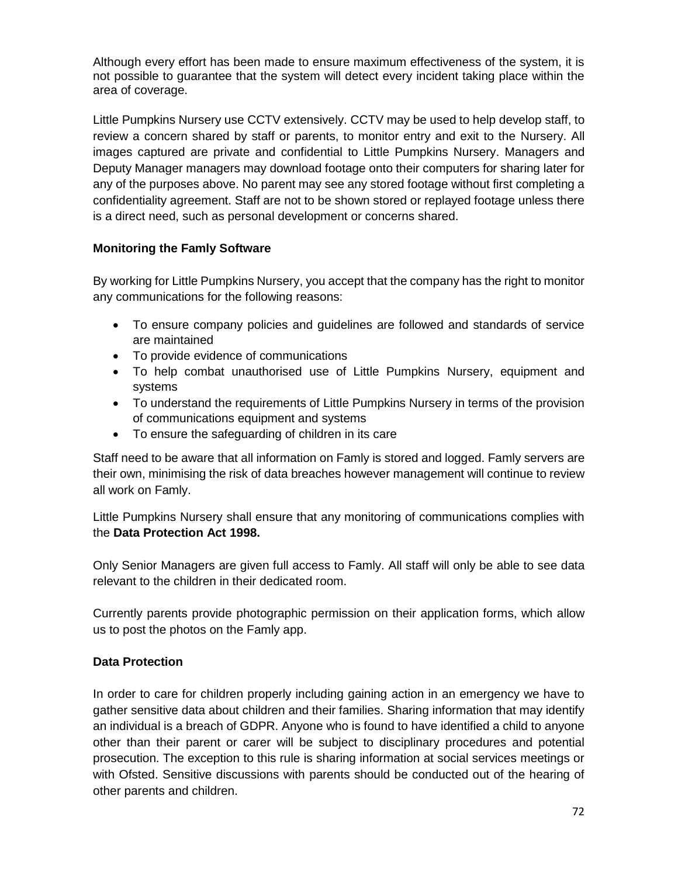Although every effort has been made to ensure maximum effectiveness of the system, it is not possible to guarantee that the system will detect every incident taking place within the area of coverage.

Little Pumpkins Nursery use CCTV extensively. CCTV may be used to help develop staff, to review a concern shared by staff or parents, to monitor entry and exit to the Nursery. All images captured are private and confidential to Little Pumpkins Nursery. Managers and Deputy Manager managers may download footage onto their computers for sharing later for any of the purposes above. No parent may see any stored footage without first completing a confidentiality agreement. Staff are not to be shown stored or replayed footage unless there is a direct need, such as personal development or concerns shared.

# **Monitoring the Famly Software**

By working for Little Pumpkins Nursery, you accept that the company has the right to monitor any communications for the following reasons:

- To ensure company policies and guidelines are followed and standards of service are maintained
- To provide evidence of communications
- To help combat unauthorised use of Little Pumpkins Nursery, equipment and systems
- To understand the requirements of Little Pumpkins Nursery in terms of the provision of communications equipment and systems
- To ensure the safeguarding of children in its care

Staff need to be aware that all information on Famly is stored and logged. Famly servers are their own, minimising the risk of data breaches however management will continue to review all work on Famly.

Little Pumpkins Nursery shall ensure that any monitoring of communications complies with the **Data Protection Act 1998.**

Only Senior Managers are given full access to Famly. All staff will only be able to see data relevant to the children in their dedicated room.

Currently parents provide photographic permission on their application forms, which allow us to post the photos on the Famly app.

# **Data Protection**

In order to care for children properly including gaining action in an emergency we have to gather sensitive data about children and their families. Sharing information that may identify an individual is a breach of GDPR. Anyone who is found to have identified a child to anyone other than their parent or carer will be subject to disciplinary procedures and potential prosecution. The exception to this rule is sharing information at social services meetings or with Ofsted. Sensitive discussions with parents should be conducted out of the hearing of other parents and children.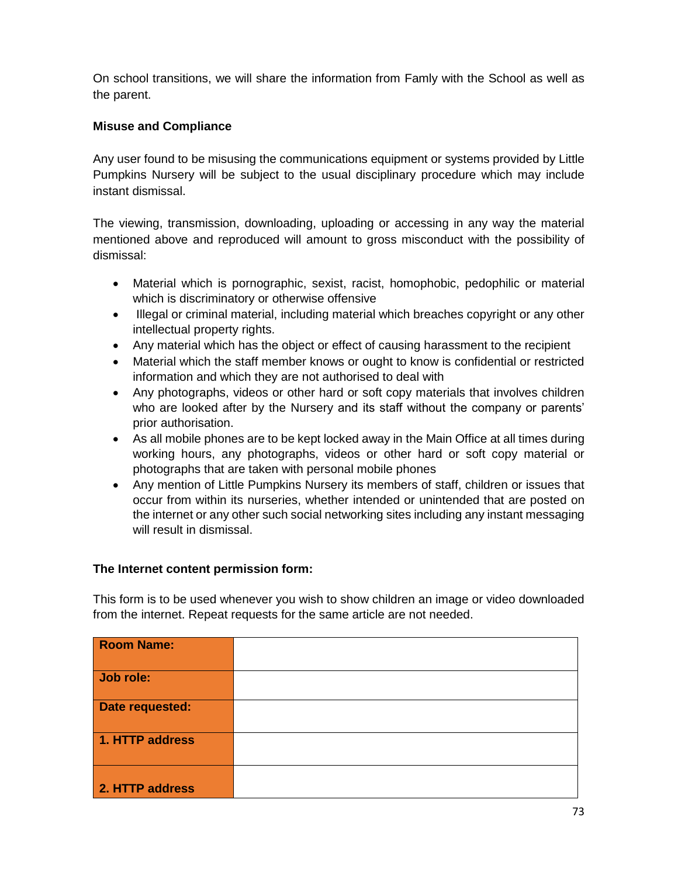On school transitions, we will share the information from Famly with the School as well as the parent.

# **Misuse and Compliance**

Any user found to be misusing the communications equipment or systems provided by Little Pumpkins Nursery will be subject to the usual disciplinary procedure which may include instant dismissal.

The viewing, transmission, downloading, uploading or accessing in any way the material mentioned above and reproduced will amount to gross misconduct with the possibility of dismissal:

- Material which is pornographic, sexist, racist, homophobic, pedophilic or material which is discriminatory or otherwise offensive
- Illegal or criminal material, including material which breaches copyright or any other intellectual property rights.
- Any material which has the object or effect of causing harassment to the recipient
- Material which the staff member knows or ought to know is confidential or restricted information and which they are not authorised to deal with
- Any photographs, videos or other hard or soft copy materials that involves children who are looked after by the Nursery and its staff without the company or parents' prior authorisation.
- As all mobile phones are to be kept locked away in the Main Office at all times during working hours, any photographs, videos or other hard or soft copy material or photographs that are taken with personal mobile phones
- Any mention of Little Pumpkins Nursery its members of staff, children or issues that occur from within its nurseries, whether intended or unintended that are posted on the internet or any other such social networking sites including any instant messaging will result in dismissal.

# **The Internet content permission form:**

This form is to be used whenever you wish to show children an image or video downloaded from the internet. Repeat requests for the same article are not needed.

| <b>Room Name:</b> |  |
|-------------------|--|
| Job role:         |  |
| Date requested:   |  |
| 1. HTTP address   |  |
| 2. HTTP address   |  |